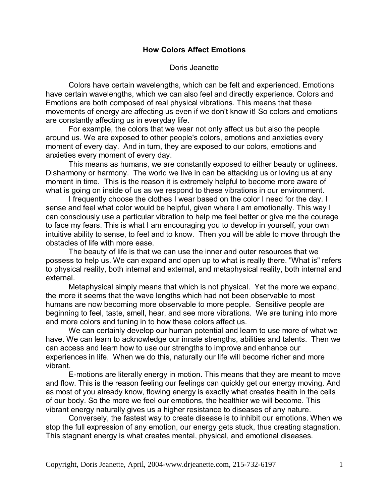## **How Colors Affect Emotions**

#### Doris Jeanette

 Colors have certain wavelengths, which can be felt and experienced. Emotions have certain wavelengths, which we can also feel and directly experience. Colors and Emotions are both composed of real physical vibrations. This means that these movements of energy are affecting us even if we don't know it! So colors and emotions are constantly affecting us in everyday life.

 For example, the colors that we wear not only affect us but also the people around us. We are exposed to other people's colors, emotions and anxieties every moment of every day. And in turn, they are exposed to our colors, emotions and anxieties every moment of every day.

This means as humans, we are constantly exposed to either beauty or ugliness. Disharmony or harmony. The world we live in can be attacking us or loving us at any moment in time. This is the reason it is extremely helpful to become more aware of what is going on inside of us as we respond to these vibrations in our environment.

 I frequently choose the clothes I wear based on the color I need for the day. I sense and feel what color would be helpful, given where I am emotionally. This way I can consciously use a particular vibration to help me feel better or give me the courage to face my fears. This is what I am encouraging you to develop in yourself, your own intuitive ability to sense, to feel and to know. Then you will be able to move through the obstacles of life with more ease.

The beauty of life is that we can use the inner and outer resources that we possess to help us. We can expand and open up to what is really there. "What is" refers to physical reality, both internal and external, and metaphysical reality, both internal and external.

Metaphysical simply means that which is not physical. Yet the more we expand, the more it seems that the wave lengths which had not been observable to most humans are now becoming more observable to more people. Sensitive people are beginning to feel, taste, smell, hear, and see more vibrations. We are tuning into more and more colors and tuning in to how these colors affect us.

 We can certainly develop our human potential and learn to use more of what we have. We can learn to acknowledge our innate strengths, abilities and talents. Then we can access and learn how to use our strengths to improve and enhance our experiences in life. When we do this, naturally our life will become richer and more vibrant.

E-motions are literally energy in motion. This means that they are meant to move and flow. This is the reason feeling our feelings can quickly get our energy moving. And as most of you already know, flowing energy is exactly what creates health in the cells of our body. So the more we feel our emotions, the healthier we will become. This vibrant energy naturally gives us a higher resistance to diseases of any nature.

Conversely, the fastest way to create disease is to inhibit our emotions. When we stop the full expression of any emotion, our energy gets stuck, thus creating stagnation. This stagnant energy is what creates mental, physical, and emotional diseases.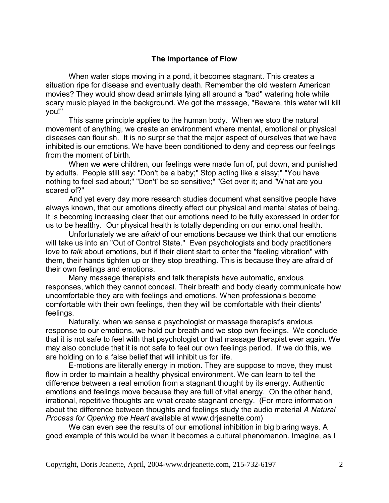# **The Importance of Flow**

When water stops moving in a pond, it becomes stagnant. This creates a situation ripe for disease and eventually death. Remember the old western American movies? They would show dead animals lying all around a "bad" watering hole while scary music played in the background. We got the message, "Beware, this water will kill you!"

This same principle applies to the human body. When we stop the natural movement of anything, we create an environment where mental, emotional or physical diseases can flourish. It is no surprise that the major aspect of ourselves that we have inhibited is our emotions. We have been conditioned to deny and depress our feelings from the moment of birth.

When we were children, our feelings were made fun of, put down, and punished by adults. People still say: "Don't be a baby;" Stop acting like a sissy;" "You have nothing to feel sad about;" "Don't' be so sensitive;" "Get over it; and "What are you scared of?"

And yet every day more research studies document what sensitive people have always known, that our emotions directly affect our physical and mental states of being. It is becoming increasing clear that our emotions need to be fully expressed in order for us to be healthy. Our physical health is totally depending on our emotional health.

Unfortunately we are *afraid* of our emotions because we think that our emotions will take us into an "Out of Control State." Even psychologists and body practitioners love to *talk* about emotions, but if their client start to enter the "feeling vibration" with them, their hands tighten up or they stop breathing. This is because they are afraid of their own feelings and emotions.

Many massage therapists and talk therapists have automatic, anxious responses, which they cannot conceal. Their breath and body clearly communicate how uncomfortable they are with feelings and emotions. When professionals become comfortable with their own feelings, then they will be comfortable with their clients' feelings.

Naturally, when we sense a psychologist or massage therapist's anxious response to our emotions, we hold our breath and we stop own feelings. We conclude that it is not safe to feel with that psychologist or that massage therapist ever again. We may also conclude that it is not safe to feel our own feelings period. If we do this, we are holding on to a false belief that will inhibit us for life.

E-motions are literally energy in motion**.** They are suppose to move, they must flow in order to maintain a healthy physical environment. We can learn to tell the difference between a real emotion from a stagnant thought by its energy. Authentic emotions and feelings move because they are full of vital energy. On the other hand, irrational, repetitive thoughts are what create stagnant energy. (For more information about the difference between thoughts and feelings study the audio material *A Natural Process for Opening the Heart* available at www.drjeanette.com)

We can even see the results of our emotional inhibition in big blaring ways. A good example of this would be when it becomes a cultural phenomenon. Imagine, as I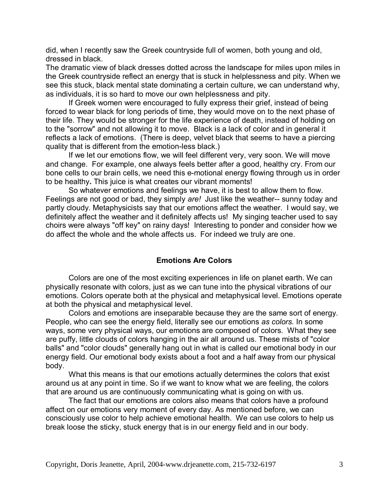did, when I recently saw the Greek countryside full of women, both young and old, dressed in black.

The dramatic view of black dresses dotted across the landscape for miles upon miles in the Greek countryside reflect an energy that is stuck in helplessness and pity. When we see this stuck, black mental state dominating a certain culture, we can understand why, as individuals, it is so hard to move our own helplessness and pity.

If Greek women were encouraged to fully express their grief, instead of being forced to wear black for long periods of time, they would move on to the next phase of their life. They would be stronger for the life experience of death, instead of holding on to the "sorrow" and not allowing it to move. Black is a lack of color and in general it reflects a lack of emotions. (There is deep, velvet black that seems to have a piercing quality that is different from the emotion-less black.)

If we let our emotions flow, we will feel different very, very soon. We will move and change. For example, one always feels better after a good, healthy cry. From our bone cells to our brain cells, we need this e-motional energy flowing through us in order to be healthy**.** This juice is what creates our vibrant moments!

 So whatever emotions and feelings we have, it is best to allow them to flow. Feelings are not good or bad, they simply *are!* Just like the weather-- sunny today and partly cloudy. Metaphysicists say that our emotions affect the weather. I would say, we definitely affect the weather and it definitely affects us! My singing teacher used to say choirs were always "off key" on rainy days! Interesting to ponder and consider how we do affect the whole and the whole affects us. For indeed we truly are one.

# **Emotions Are Colors**

Colors are one of the most exciting experiences in life on planet earth. We can physically resonate with colors, just as we can tune into the physical vibrations of our emotions. Colors operate both at the physical and metaphysical level. Emotions operate at both the physical and metaphysical level.

Colors and emotions are inseparable because they are the same sort of energy. People, who can see the energy field, literally see our emotions *as colors.* In some ways, some very physical ways, our emotions are composed of colors. What they see are puffy, little clouds of colors hanging in the air all around us. These mists of "color balls" and "color clouds" generally hang out in what is called our emotional body in our energy field. Our emotional body exists about a foot and a half away from our physical body.

What this means is that our emotions actually determines the colors that exist around us at any point in time. So if we want to know what we are feeling, the colors that are around us are continuously communicating what is going on with us.

The fact that our emotions are colors also means that colors have a profound affect on our emotions very moment of every day. As mentioned before, we can consciously use color to help achieve emotional health. We can use colors to help us break loose the sticky, stuck energy that is in our energy field and in our body.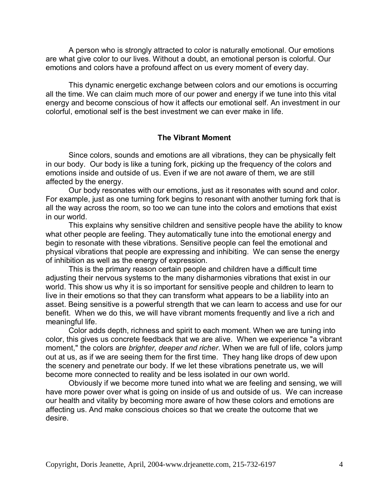A person who is strongly attracted to color is naturally emotional. Our emotions are what give color to our lives. Without a doubt, an emotional person is colorful. Our emotions and colors have a profound affect on us every moment of every day.

This dynamic energetic exchange between colors and our emotions is occurring all the time. We can claim much more of our power and energy if we tune into this vital energy and become conscious of how it affects our emotional self. An investment in our colorful, emotional self is the best investment we can ever make in life.

#### **The Vibrant Moment**

Since colors, sounds and emotions are all vibrations, they can be physically felt in our body. Our body is like a tuning fork, picking up the frequency of the colors and emotions inside and outside of us. Even if we are not aware of them, we are still affected by the energy.

Our body resonates with our emotions, just as it resonates with sound and color. For example, just as one turning fork begins to resonant with another turning fork that is all the way across the room, so too we can tune into the colors and emotions that exist in our world.

This explains why sensitive children and sensitive people have the ability to know what other people are feeling. They automatically tune into the emotional energy and begin to resonate with these vibrations. Sensitive people can feel the emotional and physical vibrations that people are expressing and inhibiting. We can sense the energy of inhibition as well as the energy of expression.

This is the primary reason certain people and children have a difficult time adjusting their nervous systems to the many disharmonies vibrations that exist in our world. This show us why it is so important for sensitive people and children to learn to live in their emotions so that they can transform what appears to be a liability into an asset. Being sensitive is a powerful strength that we can learn to access and use for our benefit. When we do this, we will have vibrant moments frequently and live a rich and meaningful life.

Color adds depth, richness and spirit to each moment. When we are tuning into color, this gives us concrete feedback that we are alive. When we experience "a vibrant moment," the colors are *brighter, deeper and richer*. When we are full of life, colors jump out at us, as if we are seeing them for the first time. They hang like drops of dew upon the scenery and penetrate our body. If we let these vibrations penetrate us, we will become more connected to reality and be less isolated in our own world.

Obviously if we become more tuned into what we are feeling and sensing, we will have more power over what is going on inside of us and outside of us. We can increase our health and vitality by becoming more aware of how these colors and emotions are affecting us. And make conscious choices so that we create the outcome that we desire.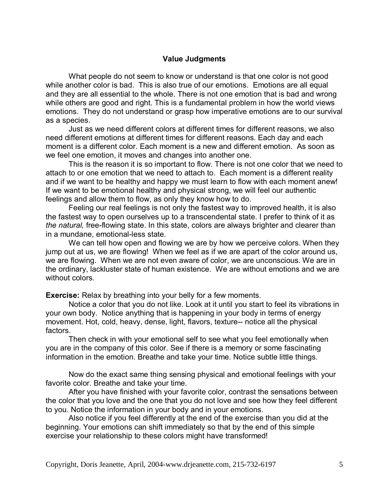## **Value Judgments**

What people do not seem to know or understand is that one color is not good while another color is bad. This is also true of our emotions. Emotions are all equal and they are all essential to the whole. There is not one emotion that is bad and wrong while others are good and right. This is a fundamental problem in how the world views emotions. They do not understand or grasp how imperative emotions are to our survival as a species.

Just as we need different colors at different times for different reasons, we also need different emotions at different times for different reasons. Each day and each moment is a different color. Each moment is a new and different emotion. As soon as we feel one emotion, it moves and changes into another one.

This is the reason it is so important to flow. There is not one color that we need to attach to or one emotion that we need to attach to. Each moment is a different reality and if we want to be healthy and happy we must learn to flow with each moment anew! If we want to be emotional healthy and physical strong, we will feel our authentic feelings and allow them to flow, as only they know how to do.

Feeling our real feelings is not only the fastest way to improved health, it is also the fastest way to open ourselves up to a transcendental state. I prefer to think of it as *the natural,* free-flowing state. In this state, colors are always brighter and clearer than in a mundane, emotional-less state.

We can tell how open and flowing we are by how we perceive colors. When they jump out at us, we are flowing! When we feel as if we are apart of the color around us, we are flowing. When we are not even aware of color, we are unconscious. We are in the ordinary, lackluster state of human existence. We are without emotions and we are without colors.

**Exercise:** Relax by breathing into your belly for a few moments.

Notice a color that you do not like. Look at it until you start to feel its vibrations in your own body. Notice anything that is happening in your body in terms of energy movement. Hot, cold, heavy, dense, light, flavors, texture-- notice all the physical factors.

Then check in with your emotional self to see what you feel emotionally when you are in the company of this color. See if there is a memory or some fascinating information in the emotion. Breathe and take your time. Notice subtle little things.

Now do the exact same thing sensing physical and emotional feelings with your favorite color. Breathe and take your time.

After you have finished with your favorite color, contrast the sensations between the color that you love and the one that you do not love and see how they feel different to you. Notice the information in your body and in your emotions.

Also notice if you feel differently at the end of the exercise than you did at the beginning. Your emotions can shift immediately so that by the end of this simple exercise your relationship to these colors might have transformed!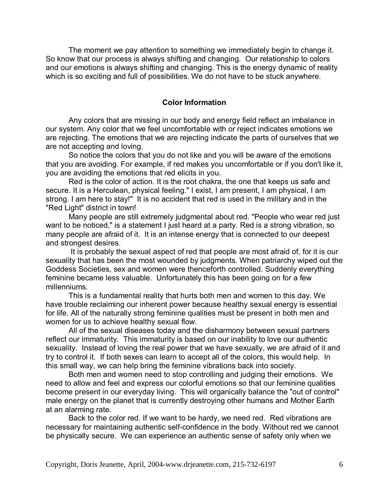The moment we pay attention to something we immediately begin to change it. So know that our process is always shifting and changing. Our relationship to colors and our emotions is always shifting and changing. This is the energy dynamic of reality which is so exciting and full of possibilities. We do not have to be stuck anywhere.

#### **Color Information**

Any colors that are missing in our body and energy field reflect an imbalance in our system. Any color that we feel uncomfortable with or reject indicates emotions we are rejecting. The emotions that we are rejecting indicate the parts of ourselves that we are not accepting and loving.

So notice the colors that you do not like and you will be aware of the emotions that you are avoiding. For example, if red makes you uncomfortable or if you don't like it, you are avoiding the emotions that red elicits in you.

Red is the color of action. It is the root chakra, the one that keeps us safe and secure. It is a Herculean, physical feeling." I exist, I am present, I am physical, I am strong. I am here to stay!" It is no accident that red is used in the military and in the "Red Light" district in town!

Many people are still extremely judgmental about red. "People who wear red just want to be noticed," is a statement I just heard at a party. Red is a strong vibration, so many people are afraid of it. It is an intense energy that is connected to our deepest and strongest desires.

 It is probably the sexual aspect of red that people are most afraid of, for it is our sexuality that has been the most wounded by judgments. When patriarchy wiped out the Goddess Societies, sex and women were thenceforth controlled. Suddenly everything feminine became less valuable. Unfortunately this has been going on for a few millenniums.

This is a fundamental reality that hurts both men and women to this day. We have trouble reclaiming our inherent power because healthy sexual energy is essential for life. All of the naturally strong feminine qualities must be present in both men and women for us to achieve healthy sexual flow.

All of the sexual diseases today and the disharmony between sexual partners reflect our immaturity. This immaturity is based on our inability to love our authentic sexuality. Instead of loving the real power that we have sexually, we are afraid of it and try to control it. If both sexes can learn to accept all of the colors, this would help. In this small way, we can help bring the feminine vibrations back into society.

Both men and women need to stop controlling and judging their emotions. We need to allow and feel and express our colorful emotions so that our feminine qualities become present in our everyday living. This will organically balance the "out of control" male energy on the planet that is currently destroying other humans and Mother Earth at an alarming rate.

Back to the color red. If we want to be hardy, we need red. Red vibrations are necessary for maintaining authentic self-confidence in the body. Without red we cannot be physically secure. We can experience an authentic sense of safety only when we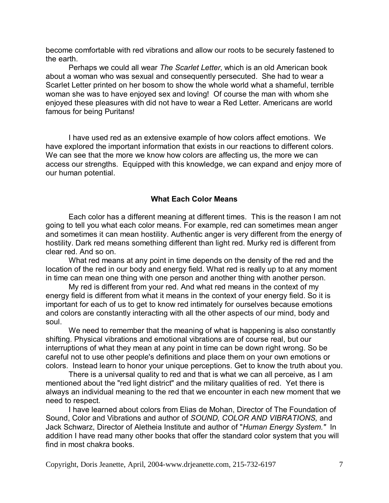become comfortable with red vibrations and allow our roots to be securely fastened to the earth.

Perhaps we could all wear *The Scarlet Letter,* which is an old American book about a woman who was sexual and consequently persecuted. She had to wear a Scarlet Letter printed on her bosom to show the whole world what a shameful, terrible woman she was to have enjoyed sex and loving! Of course the man with whom she enjoyed these pleasures with did not have to wear a Red Letter. Americans are world famous for being Puritans!

I have used red as an extensive example of how colors affect emotions. We have explored the important information that exists in our reactions to different colors. We can see that the more we know how colors are affecting us, the more we can access our strengths. Equipped with this knowledge, we can expand and enjoy more of our human potential.

### **What Each Color Means**

Each color has a different meaning at different times. This is the reason I am not going to tell you what each color means. For example, red can sometimes mean anger and sometimes it can mean hostility. Authentic anger is very different from the energy of hostility. Dark red means something different than light red. Murky red is different from clear red. And so on.

What red means at any point in time depends on the density of the red and the location of the red in our body and energy field. What red is really up to at any moment in time can mean one thing with one person and another thing with another person.

My red is different from your red. And what red means in the context of my energy field is different from what it means in the context of your energy field. So it is important for each of us to get to know red intimately for ourselves because emotions and colors are constantly interacting with all the other aspects of our mind, body and soul.

We need to remember that the meaning of what is happening is also constantly shifting. Physical vibrations and emotional vibrations are of course real, but our interruptions of what they mean at any point in time can be down right wrong. So be careful not to use other people's definitions and place them on your own emotions or colors. Instead learn to honor your unique perceptions. Get to know the truth about you.

There is a universal quality to red and that is what we can all perceive, as I am mentioned about the "red light district" and the military qualities of red. Yet there is always an individual meaning to the red that we encounter in each new moment that we need to respect.

I have learned about colors from Elias de Mohan, Director of The Foundation of Sound, Color and Vibrations and author of *SOUND, COLOR AND VIBRATIONS,* and Jack Schwarz, Director of Aletheia Institute and author of "*Human Energy System."* In addition I have read many other books that offer the standard color system that you will find in most chakra books.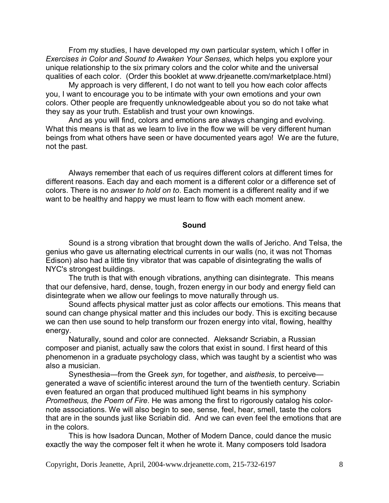From my studies, I have developed my own particular system, which I offer in *Exercises in Color and Sound to Awaken Your Senses,* which helps you explore your unique relationship to the six primary colors and the color white and the universal qualities of each color. (Order this booklet at www.drjeanette.com/marketplace.html)

My approach is very different, I do not want to tell you how each color affects you, I want to encourage you to be intimate with your own emotions and your own colors. Other people are frequently unknowledgeable about you so do not take what they say as your truth. Establish and trust your own knowings.

And as you will find, colors and emotions are always changing and evolving. What this means is that as we learn to live in the flow we will be very different human beings from what others have seen or have documented years ago! We are the future, not the past.

Always remember that each of us requires different colors at different times for different reasons. Each day and each moment is a different color or a difference set of colors. There is no *answer to hold on to*. Each moment is a different reality and if we want to be healthy and happy we must learn to flow with each moment anew.

#### **Sound**

Sound is a strong vibration that brought down the walls of Jericho. And Telsa, the genius who gave us alternating electrical currents in our walls (no, it was not Thomas Edison) also had a little tiny vibrator that was capable of disintegrating the walls of NYC's strongest buildings.

The truth is that with enough vibrations, anything can disintegrate. This means that our defensive, hard, dense, tough, frozen energy in our body and energy field can disintegrate when we allow our feelings to move naturally through us.

Sound affects physical matter just as color affects our emotions. This means that sound can change physical matter and this includes our body. This is exciting because we can then use sound to help transform our frozen energy into vital, flowing, healthy energy.

Naturally, sound and color are connected. Aleksandr Scriabin, a Russian composer and pianist, actually saw the colors that exist in sound. I first heard of this phenomenon in a graduate psychology class, which was taught by a scientist who was also a musician.

Synesthesia—from the Greek *syn*, for together, and *aisthesis*, to perceive generated a wave of scientific interest around the turn of the twentieth century. Scriabin even featured an organ that produced multihued light beams in his symphony *Prometheus, the Poem of Fire*. He was among the first to rigorously catalog his colornote associations. We will also begin to see, sense, feel, hear, smell, taste the colors that are in the sounds just like Scriabin did. And we can even feel the emotions that are in the colors.

This is how Isadora Duncan, Mother of Modern Dance, could dance the music exactly the way the composer felt it when he wrote it. Many composers told Isadora

Copyright, Doris Jeanette, April, 2004-www.drjeanette.com, 215-732-6197 8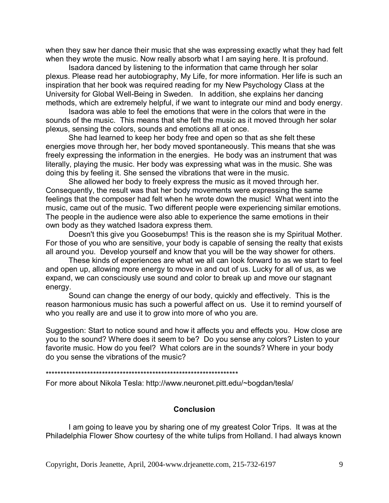when they saw her dance their music that she was expressing exactly what they had felt when they wrote the music. Now really absorb what I am saying here. It is profound.

Isadora danced by listening to the information that came through her solar plexus. Please read her autobiography, My Life, for more information. Her life is such an inspiration that her book was required reading for my New Psychology Class at the University for Global Well-Being in Sweden. In addition, she explains her dancing methods, which are extremely helpful, if we want to integrate our mind and body energy.

Isadora was able to feel the emotions that were in the colors that were in the sounds of the music. This means that she felt the music as it moved through her solar plexus, sensing the colors, sounds and emotions all at once.

She had learned to keep her body free and open so that as she felt these energies move through her, her body moved spontaneously. This means that she was freely expressing the information in the energies. He body was an instrument that was literally, playing the music. Her body was expressing what was in the music. She was doing this by feeling it. She sensed the vibrations that were in the music.

She allowed her body to freely express the music as it moved through her. Consequently, the result was that her body movements were expressing the same feelings that the composer had felt when he wrote down the music! What went into the music, came out of the music. Two different people were experiencing similar emotions. The people in the audience were also able to experience the same emotions in their own body as they watched Isadora express them.

Doesn't this give you Goosebumps! This is the reason she is my Spiritual Mother. For those of you who are sensitive, your body is capable of sensing the realty that exists all around you. Develop yourself and know that you will be the way shower for others.

These kinds of experiences are what we all can look forward to as we start to feel and open up, allowing more energy to move in and out of us. Lucky for all of us, as we expand, we can consciously use sound and color to break up and move our stagnant energy.

Sound can change the energy of our body, quickly and effectively. This is the reason harmonious music has such a powerful affect on us. Use it to remind yourself of who you really are and use it to grow into more of who you are.

Suggestion: Start to notice sound and how it affects you and effects you. How close are you to the sound? Where does it seem to be? Do you sense any colors? Listen to your favorite music. How do you feel? What colors are in the sounds? Where in your body do you sense the vibrations of the music?

\*\*\*\*\*\*\*\*\*\*\*\*\*\*\*\*\*\*\*\*\*\*\*\*\*\*\*\*\*\*\*\*\*\*\*\*\*\*\*\*\*\*\*\*\*\*\*\*\*\*\*\*\*\*\*\*\*\*\*\*\*\*\*\*\*

For more about Nikola Tesla: http://www.neuronet.pitt.edu/~bogdan/tesla/

#### **Conclusion**

I am going to leave you by sharing one of my greatest Color Trips. It was at the Philadelphia Flower Show courtesy of the white tulips from Holland. I had always known